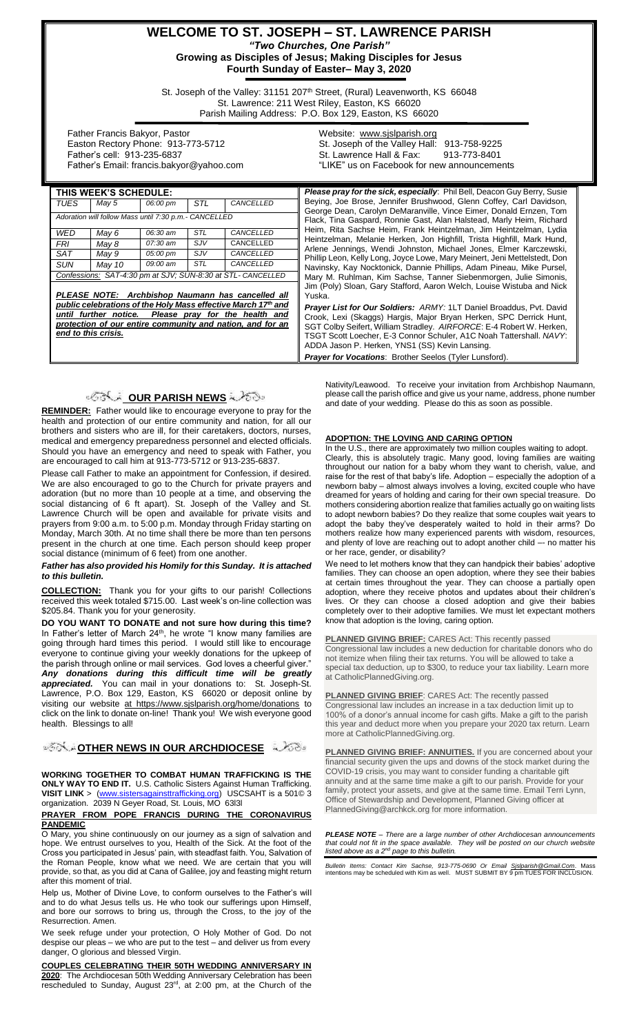## **WELCOME TO ST. JOSEPH – ST. LAWRENCE PARISH** *"Two Churches, One Parish"* **Growing as Disciples of Jesus; Making Disciples for Jesus**

**Fourth Sunday of Easter– May 3, 2020**

St. Joseph of the Valley: 31151 207<sup>th</sup> Street, (Rural) Leavenworth, KS 66048 St. Lawrence: 211 West Riley, Easton, KS 66020 Parish Mailing Address: P.O. Box 129, Easton, KS 66020

 Father Francis Bakyor, Pastor Easton Rectory Phone: 913-773-5712 Father's cell: 913-235-6837 Father's Email: francis.bakyor@yahoo.com Website: [www.sjslparish.org](http://www.sjslparish.org/) St. Joseph of the Valley Hall: 913-758-9225 St. Lawrence Hall & Fax: "LIKE" us on Facebook for new announcements

| THIS WEEK'S SCHEDULE:                                                                                                                                                                                                                                          |        |          |            |           |
|----------------------------------------------------------------------------------------------------------------------------------------------------------------------------------------------------------------------------------------------------------------|--------|----------|------------|-----------|
| TUES                                                                                                                                                                                                                                                           | May 5  | 06:00 pm | STI        | CANCELLED |
| Adoration will follow Mass until 7:30 p.m.- CANCELLED                                                                                                                                                                                                          |        |          |            |           |
| WED                                                                                                                                                                                                                                                            | May 6  | 06:30 am | STL        | CANCELLED |
| FRI                                                                                                                                                                                                                                                            | May 8  | 07:30 am | <i>SJV</i> | CANCELLED |
| SAT                                                                                                                                                                                                                                                            | May 9  | 05:00 pm | <i>SJV</i> | CANCELLED |
| SUN                                                                                                                                                                                                                                                            | May 10 | 09:00 am | <b>STL</b> | CANCELLED |
| Confessions: SAT-4:30 pm at SJV; SUN-8:30 at STL- CANCELLED                                                                                                                                                                                                    |        |          |            |           |
| PLEASE NOTE: Archbishop Naumann has cancelled all<br>public celebrations of the Holy Mass effective March 17th and<br>until further notice. Please pray for the health and<br>protection of our entire community and nation, and for an<br>end to this crisis. |        |          |            |           |

## **OUR PARISH NEWS**

**REMINDER:** Father would like to encourage everyone to pray for the health and protection of our entire community and nation, for all our brothers and sisters who are ill, for their caretakers, doctors, nurses, medical and emergency preparedness personnel and elected officials. Should you have an emergency and need to speak with Father, you are encouraged to call him at 913-773-5712 or 913-235-6837.

Please call Father to make an appointment for Confession, if desired. We are also encouraged to go to the Church for private prayers and adoration (but no more than 10 people at a time, and observing the social distancing of 6 ft apart). St. Joseph of the Valley and St. Lawrence Church will be open and available for private visits and prayers from 9:00 a.m. to 5:00 p.m. Monday through Friday starting on Monday, March 30th. At no time shall there be more than ten persons present in the church at one time. Each person should keep proper social distance (minimum of 6 feet) from one another.

### *Father has also provided his Homily for this Sunday. It is attached to this bulletin.*

**COLLECTION:** Thank you for your gifts to our parish! Collections received this week totaled \$715.00. Last week's on-line collection was \$205.84. Thank you for your generosity.

**DO YOU WANT TO DONATE and not sure how during this time?** In Father's letter of March 24<sup>th</sup>, he wrote "I know many families are going through hard times this period. I would still like to encourage everyone to continue giving your weekly donations for the upkeep of the parish through online or mail services. God loves a cheerful giver." *Any donations during this difficult time will be greatly appreciated.* You can mail in your donations to: St. Joseph-St. Lawrence, P.O. Box 129, Easton, KS 66020 or deposit online by visiting our website at https://www.sjslparish.org/home/donations to click on the link to donate on-line! Thank you! We wish everyone good health.Blessings to all!

**[O](http://www.google.com/url?sa=i&rct=j&q=&esrc=s&source=images&cd=&cad=rja&uact=8&ved=0CAcQjRxqFQoTCL3M6dfYlskCFQfIYwodK-sMqA&url=http://www.clipartpanda.com/categories/corner-scroll-design&psig=AFQjCNEcNGu-GRs-N_tcfj31hDOCKS7EqQ&ust=1447823402338642)FFICER NEWS IN OUR ARCHDIOCESE** 

**WORKING TOGETHER TO COMBAT HUMAN TRAFFICKING IS THE ONLY WAY TO END IT.** U.S. Catholic Sisters Against Human Trafficking. **VISIT LINK** > [\(www.sistersagainsttrafficking.org\)](http://www.sistersagainsttrafficking.org/) USCSAHT is a 501© 3 organization. 2039 N Geyer Road, St. Louis, MO 63l3l

### **PRAYER FROM POPE FRANCIS DURING THE CORONAVIRUS PANDEMIC**

O Mary, you shine continuously on our journey as a sign of salvation and hope. We entrust ourselves to you, Health of the Sick. At the foot of the Cross you participated in Jesus' pain, with steadfast faith. You, Salvation of the Roman People, know what we need. We are certain that you will provide, so that, as you did at Cana of Galilee, joy and feasting might return after this moment of trial.

Help us, Mother of Divine Love, to conform ourselves to the Father's will and to do what Jesus tells us. He who took our sufferings upon Himself, and bore our sorrows to bring us, through the Cross, to the joy of the Resurrection. Amen.

We seek refuge under your protection, O Holy Mother of God. Do not despise our pleas – we who are put to the test – and deliver us from every danger, O glorious and blessed Virgin.

**COUPLES CELEBRATING THEIR 50TH WEDDING ANNIVERSARY IN 2020**: The Archdiocesan 50th Wedding Anniversary Celebration has been rescheduled to Sunday, August 23<sup>rd</sup>, at 2:00 pm, at the Church of the

**Please pray for the sick, especially**: Phil Bell, Deacon Guy Berry, Susie Beying, Joe Brose, Jennifer Brushwood, Glenn Coffey, Carl Davidson, George Dean, Carolyn DeMaranville, Vince Eimer, Donald Ernzen, Tom Flack, Tina Gaspard, Ronnie Gast, Alan Halstead, Marly Heim, Richard Heim, Rita Sachse Heim, Frank Heintzelman, Jim Heintzelman, Lydia Heintzelman, Melanie Herken, Jon Highfill, Trista Highfill, Mark Hund, Arlene Jennings, Wendi Johnston, Michael Jones, Elmer Karczewski, Phillip Leon, Kelly Long, Joyce Lowe, Mary Meinert, Jeni Mettelstedt, Don Navinsky, Kay Nocktonick, Dannie Phillips, Adam Pineau, Mike Pursel, Mary M. Ruhlman, Kim Sachse, Tanner Siebenmorgen, Julie Simonis, Jim (Poly) Sloan, Gary Stafford, Aaron Welch, Louise Wistuba and Nick Yuska.

*Prayer List for Our Soldiers: ARMY:* 1LT Daniel Broaddus, Pvt. David Crook, Lexi (Skaggs) Hargis, Major Bryan Herken, SPC Derrick Hunt, SGT Colby Seifert, William Stradley. *AIRFORCE*: E-4 Robert W. Herken, TSGT Scott Loecher, E-3 Connor Schuler, A1C Noah Tattershall. *NAVY*: ADDA Jason P. Herken, YNS1 (SS) Kevin Lansing. *Prayer for Vocations*: Brother Seelos (Tyler Lunsford).

Nativity/Leawood. To receive your invitation from Archbishop Naumann, please call the parish office and give us your name, address, phone number and date of your wedding. Please do this as soon as possible.

### **ADOPTION: THE LOVING AND CARING OPTION**

In the U.S., there are approximately two million couples waiting to adopt. Clearly, this is absolutely tragic. Many good, loving families are waiting throughout our nation for a baby whom they want to cherish, value, and raise for the rest of that baby's life. Adoption – especially the adoption of a newborn baby – almost always involves a loving, excited couple who have dreamed for years of holding and caring for their own special treasure. Do mothers considering abortion realize that families actually go on waiting lists to adopt newborn babies? Do they realize that some couples wait years to adopt the baby they've desperately waited to hold in their arms? Do mothers realize how many experienced parents with wisdom, resources, and plenty of love are reaching out to adopt another child –- no matter his or her race, gender, or disability?

We need to let mothers know that they can handpick their babies' adoptive families. They can choose an open adoption, where they see their babies at certain times throughout the year. They can choose a partially open adoption, where they receive photos and updates about their children's lives. Or they can choose a closed adoption and give their babies completely over to their adoptive families. We must let expectant mothers know that adoption is the loving, caring option.

### **PLANNED GIVING BRIEF:** CARES Act: This recently passed

Congressional law includes a new deduction for charitable donors who do not itemize when filing their tax returns. You will be allowed to take a special tax deduction, up to \$300, to reduce your tax liability. Learn more at CatholicPlannedGiving.org.

**PLANNED GIVING BRIEF:** CARES Act: The recently passed Congressional law includes an increase in a tax deduction limit up to 100% of a donor's annual income for cash gifts. Make a gift to the parish this year and deduct more when you prepare your 2020 tax return. Learn more at CatholicPlannedGiving.org.

**PLANNED GIVING BRIEF: ANNUITIES.** If you are concerned about your financial security given the ups and downs of the stock market during the COVID-19 crisis, you may want to consider funding a charitable gift annuity and at the same time make a gift to our parish. Provide for your family, protect your assets, and give at the same time. Email Terri Lynn, Office of Stewardship and Development, Planned Giving officer at PlannedGiving@archkck.org for more information.

*PLEASE NOTE – There are a large number of other Archdiocesan announcements that could not fit in the space available. They will be posted on our church website listed above as a 2nd page to this bulletin.*

*Bulletin Items: Contact Kim Sachse, 913-775-0690 Or Email <u>Sislparish@Gmail.Com</u>. Mass<br>intentions may be scheduled with Kim as well. MUST SUBMIT BY 9 pm TUES FOR INCLUSION.*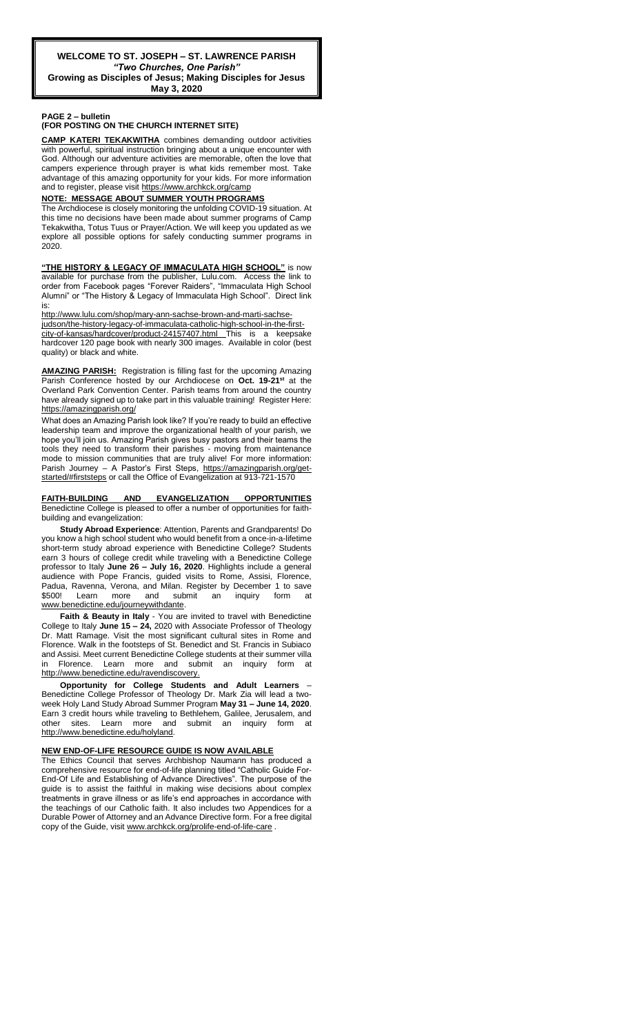**Growing as Disciples of Jesus; Making Disciples for Jesus May 3, 2020**

### **PAGE 2 – bulletin**

## **(FOR POSTING ON THE CHURCH INTERNET SITE)**

**CAMP KATERI TEKAKWITHA** combines demanding outdoor activities with powerful, spiritual instruction bringing about a unique encounter with God. Although our adventure activities are memorable, often the love that campers experience through prayer is what kids remember most. Take advantage of this amazing opportunity for your kids. For more information and to register, please visit<https://www.archkck.org/camp>

### **NOTE: MESSAGE ABOUT SUMMER YOUTH PROGRAMS**

The Archdiocese is closely monitoring the unfolding COVID-19 situation. At this time no decisions have been made about summer programs of Camp Tekakwitha, Totus Tuus or Prayer/Action. We will keep you updated as we explore all possible options for safely conducting summer programs in 2020.

**"THE HISTORY & LEGACY OF IMMACULATA HIGH SCHOOL"** is now available for purchase from the publisher, Lulu.com. Access the link to order from Facebook pages "Forever Raiders", "Immaculata High School Alumni" or "The History & Legacy of Immaculata High School". Direct link is:

[http://www.lulu.com/shop/mary-ann-sachse-brown-and-marti-sachse-](http://www.lulu.com/shop/mary-ann-sachse-brown-and-marti-sachse-judson/the-history-legacy-of-immaculata-catholic-high-school-in-the-first-city-of-kansas/hardcover/product-24157407.html)

[judson/the-history-legacy-of-immaculata-catholic-high-school-in-the-first](http://www.lulu.com/shop/mary-ann-sachse-brown-and-marti-sachse-judson/the-history-legacy-of-immaculata-catholic-high-school-in-the-first-city-of-kansas/hardcover/product-24157407.html)[city-of-kansas/hardcover/product-24157407.html](http://www.lulu.com/shop/mary-ann-sachse-brown-and-marti-sachse-judson/the-history-legacy-of-immaculata-catholic-high-school-in-the-first-city-of-kansas/hardcover/product-24157407.html) This hardcover 120 page book with nearly 300 images. Available in color (best quality) or black and white.

**AMAZING PARISH:** Registration is filling fast for the upcoming Amazing Parish Conference hosted by our Archdiocese on **Oct. 19-21st** at the Overland Park Convention Center. Parish teams from around the country have already signed up to take part in this valuable training! Register Here: <https://amazingparish.org/>

What does an Amazing Parish look like? If you're ready to build an effective leadership team and improve the organizational health of your parish, we hope you'll join us. Amazing Parish gives busy pastors and their teams the tools they need to transform their parishes - moving from maintenance mode to mission communities that are truly alive! For more information: Parish Journey - A Pastor's First Steps, [https://amazingparish.org/get](https://amazingparish.org/get-started/#firststeps)[started/#firststeps](https://amazingparish.org/get-started/#firststeps) or call the Office of Evangelization at 913-721-1570

#### **FAITH-BUILDING AND EVANGELIZATION OPPORTUNITIES** Benedictine College is pleased to offer a number of opportunities for faithbuilding and evangelization:

**Study Abroad Experience**: Attention, Parents and Grandparents! Do you know a high school student who would benefit from a once-in-a-lifetime short-term study abroad experience with Benedictine College? Students earn 3 hours of college credit while traveling with a Benedictine College professor to Italy **June 26 – July 16, 2020**. Highlights include a general audience with Pope Francis, guided visits to Rome, Assisi, Florence, Padua, Ravenna, Verona, and Milan. Register by December 1 to save \$500! Learn more and submit an inquiry form at [www.benedictine.edu/journeywithdante.](http://www.benedictine.edu/journeywithdante)

**Faith & Beauty in Italy** - You are invited to travel with Benedictine College to Italy **June 15 – 24,** 2020 with Associate Professor of Theology Dr. Matt Ramage. Visit the most significant cultural sites in Rome and Florence. Walk in the footsteps of St. Benedict and St. Francis in Subiaco and Assisi. Meet current Benedictine College students at their summer villa in Florence. Learn more and submit an inquiry form at [http://www.benedictine.edu/ravendiscovery.](http://www.benedictine.edu/ravendiscovery)

**Opportunity for College Students and Adult Learners** – Benedictine College Professor of Theology Dr. Mark Zia will lead a twoweek Holy Land Study Abroad Summer Program **May 31 – June 14, 2020**. Earn 3 credit hours while traveling to Bethlehem, Galilee, Jerusalem, and other sites. Learn more and submit an inquiry form at [http://www.benedictine.edu/holyland.](http://www.benedictine.edu/holyland)

### **NEW END-OF-LIFE RESOURCE GUIDE IS NOW AVAILABLE**

The Ethics Council that serves Archbishop Naumann has produced a comprehensive resource for end-of-life planning titled "Catholic Guide For-End-Of Life and Establishing of Advance Directives". The purpose of the guide is to assist the faithful in making wise decisions about complex treatments in grave illness or as life's end approaches in accordance with the teachings of our Catholic faith. It also includes two Appendices for a Durable Power of Attorney and an Advance Directive form. For a free digital copy of the Guide, visi[t www.archkck.org/prolife-end-of-life-care](http://www.archkck.org/prolife-end-of-life-care).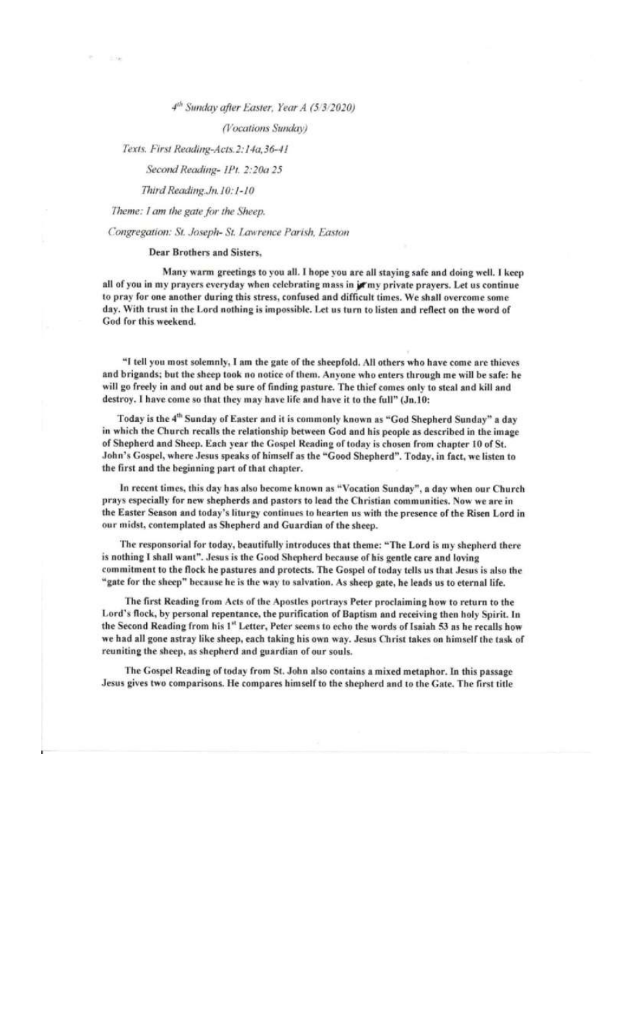## 4th Sunday after Easter, Year A (5/3/2020)

## (Vocations Sunday)

Texts. First Reading-Acts. 2:14a, 36-41

# Second Reading- IPt. 2:20a 25

Third Reading.Jn.10:1-10

Theme: I am the gate for the Sheep.

## Congregation: St. Joseph- St. Lawrence Parish, Easton

## Dear Brothers and Sisters.

Many warm greetings to you all. I hope you are all staying safe and doing well. I keep all of you in my prayers everyday when celebrating mass in jormy private prayers. Let us continue to pray for one another during this stress, confused and difficult times. We shall overcome some day. With trust in the Lord nothing is impossible. Let us turn to listen and reflect on the word of God for this weekend.

"I tell you most solemnly, I am the gate of the sheepfold. All others who have come are thieves and brigands; but the sheep took no notice of them. Anyone who enters through me will be safe: he will go freely in and out and be sure of finding pasture. The thief comes only to steal and kill and destroy. I have come so that they may have life and have it to the full" (Jn.10:

Today is the 4<sup>th</sup> Sunday of Easter and it is commonly known as "God Shepherd Sunday" a day in which the Church recalls the relationship between God and his people as described in the image of Shepherd and Sheep. Each year the Gospel Reading of today is chosen from chapter 10 of St. John's Gospel, where Jesus speaks of himself as the "Good Shepherd". Today, in fact, we listen to the first and the beginning part of that chapter.

In recent times, this day has also become known as "Vocation Sunday", a day when our Church prays especially for new shepherds and pastors to lead the Christian communities. Now we are in the Easter Season and today's liturgy continues to hearten us with the presence of the Risen Lord in our midst, contemplated as Shepherd and Guardian of the sheep.

The responsorial for today, beautifully introduces that theme: "The Lord is my shepherd there is nothing I shall want". Jesus is the Good Shepherd because of his gentle care and loving commitment to the flock he pastures and protects. The Gospel of today tells us that Jesus is also the "gate for the sheep" because he is the way to salvation. As sheep gate, he leads us to eternal life.

The first Reading from Acts of the Apostles portrays Peter proclaiming how to return to the Lord's flock, by personal repentance, the purification of Baptism and receiving then holy Spirit. In the Second Reading from his 1st Letter, Peter seems to echo the words of Isaiah 53 as he recalls how we had all gone astray like sheep, each taking his own way. Jesus Christ takes on himself the task of reuniting the sheep, as shepherd and guardian of our souls.

The Gospel Reading of today from St. John also contains a mixed metaphor. In this passage Jesus gives two comparisons. He compares himself to the shepherd and to the Gate. The first title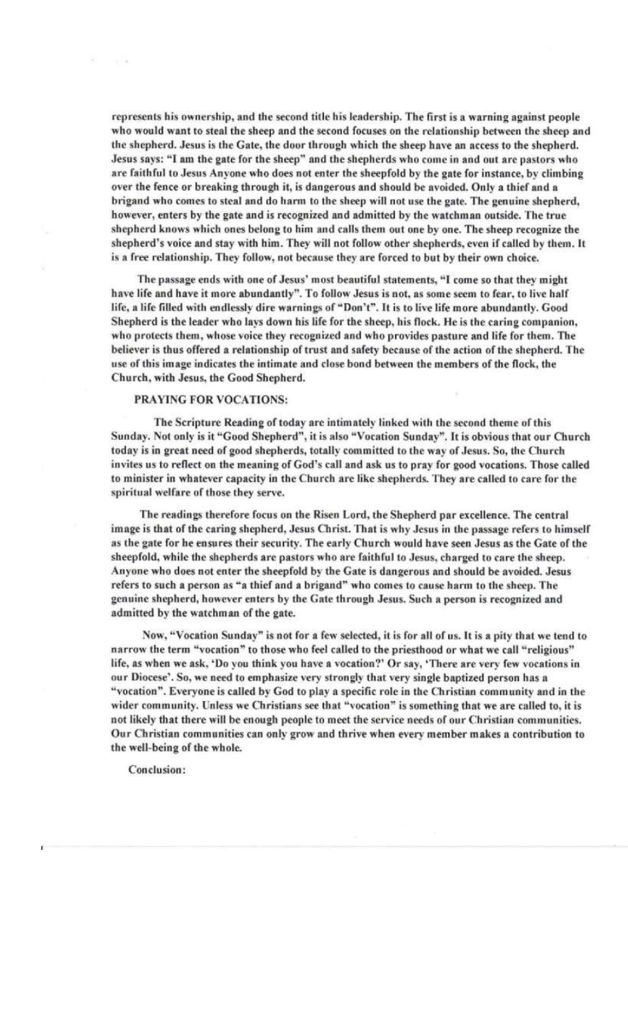represents his ownership, and the second title his leadership. The first is a warning against people who would want to steal the sheep and the second focuses on the relationship between the sheep and the shepherd. Jesus is the Gate, the door through which the sheep have an access to the shepherd. Jesus says: "I am the gate for the sheep" and the shepherds who come in and out are pastors who are faithful to Jesus Anyone who does not enter the sheepfold by the gate for instance, by climbing over the fence or breaking through it, is dangerous and should be avoided. Only a thief and a brigand who comes to steal and do harm to the sheep will not use the gate. The genuine shepherd, however, enters by the gate and is recognized and admitted by the watchman outside. The true shepherd knows which ones belong to him and calls them out one by one. The sheep recognize the shepherd's voice and stay with him. They will not follow other shepherds, even if called by them. It is a free relationship. They follow, not because they are forced to but by their own choice.

The passage ends with one of Jesus' most beautiful statements, "I come so that they might have life and have it more abundantly". To follow Jesus is not, as some seem to fear, to live half life, a life filled with endlessly dire warnings of "Don't". It is to live life more abundantly. Good Shepherd is the leader who lays down his life for the sheep, his flock. He is the caring companion, who protects them, whose voice they recognized and who provides pasture and life for them. The believer is thus offered a relationship of trust and safety because of the action of the shepherd. The use of this image indicates the intimate and close bond between the members of the flock, the Church, with Jesus, the Good Shepherd.

## PRAYING FOR VOCATIONS:

The Scripture Reading of today are intimately linked with the second theme of this Sunday. Not only is it "Good Shepherd", it is also "Vocation Sunday". It is obvious that our Church today is in great need of good shepherds, totally committed to the way of Jesus. So, the Church invites us to reflect on the meaning of God's call and ask us to pray for good vocations. Those called to minister in whatever capacity in the Church are like shepherds. They are called to care for the spiritual welfare of those they serve.

The readings therefore focus on the Risen Lord, the Shepherd par excellence. The central image is that of the caring shepherd, Jesus Christ. That is why Jesus in the passage refers to himself as the gate for he ensures their security. The early Church would have seen Jesus as the Gate of the sheepfold, while the shepherds are pastors who are faithful to Jesus, charged to care the sheep. Anyone who does not enter the sheepfold by the Gate is dangerous and should be avoided. Jesus refers to such a person as "a thief and a brigand" who comes to cause harm to the sheep. The genuine shepherd, however enters by the Gate through Jesus. Such a person is recognized and admitted by the watchman of the gate.

Now, "Vocation Sunday" is not for a few selected, it is for all of us. It is a pity that we tend to narrow the term "vocation" to those who feel called to the priesthood or what we call "religious" life, as when we ask, 'Do you think you have a vocation?' Or say, 'There are very few vocations in our Diocese'. So, we need to emphasize very strongly that very single baptized person has a "vocation". Everyone is called by God to play a specific role in the Christian community and in the wider community. Unless we Christians see that "vocation" is something that we are called to, it is not likely that there will be enough people to meet the service needs of our Christian communities. Our Christian communities can only grow and thrive when every member makes a contribution to the well-being of the whole.

Conclusion: